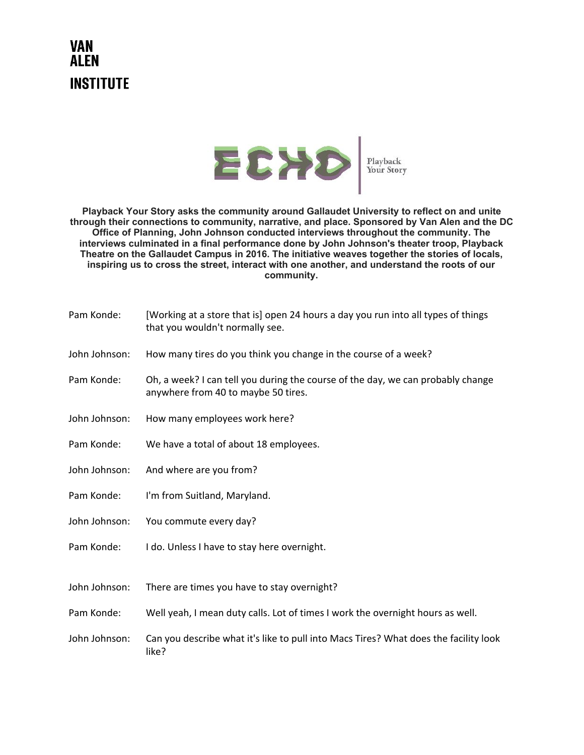## **VAN ALEN INSTITUTE**



**Playback Your Story asks the community around Gallaudet University to reflect on and unite through their connections to community, narrative, and place. Sponsored by Van Alen and the DC Office of Planning, John Johnson conducted interviews throughout the community. The interviews culminated in a final performance done by John Johnson's theater troop, Playback Theatre on the Gallaudet Campus in 2016. The initiative weaves together the stories of locals, inspiring us to cross the street, interact with one another, and understand the roots of our community.**

| Pam Konde:    | [Working at a store that is] open 24 hours a day you run into all types of things<br>that you wouldn't normally see.   |
|---------------|------------------------------------------------------------------------------------------------------------------------|
| John Johnson: | How many tires do you think you change in the course of a week?                                                        |
| Pam Konde:    | Oh, a week? I can tell you during the course of the day, we can probably change<br>anywhere from 40 to maybe 50 tires. |
| John Johnson: | How many employees work here?                                                                                          |
| Pam Konde:    | We have a total of about 18 employees.                                                                                 |
| John Johnson: | And where are you from?                                                                                                |
| Pam Konde:    | I'm from Suitland, Maryland.                                                                                           |
| John Johnson: | You commute every day?                                                                                                 |
| Pam Konde:    | I do. Unless I have to stay here overnight.                                                                            |
| John Johnson: | There are times you have to stay overnight?                                                                            |
| Pam Konde:    | Well yeah, I mean duty calls. Lot of times I work the overnight hours as well.                                         |
| John Johnson: | Can you describe what it's like to pull into Macs Tires? What does the facility look<br>like?                          |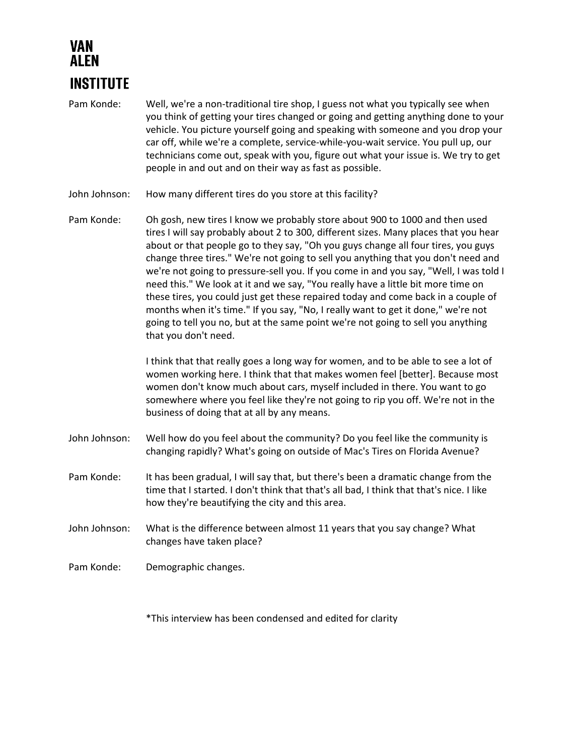## VAN AI FN **INSTITUTE**

- Pam Konde: Well, we're a non-traditional tire shop, I guess not what you typically see when you think of getting your tires changed or going and getting anything done to your vehicle. You picture yourself going and speaking with someone and you drop your car off, while we're a complete, service-while-you-wait service. You pull up, our technicians come out, speak with you, figure out what your issue is. We try to get people in and out and on their way as fast as possible.
- John Johnson: How many different tires do you store at this facility?
- Pam Konde: Oh gosh, new tires I know we probably store about 900 to 1000 and then used tires I will say probably about 2 to 300, different sizes. Many places that you hear about or that people go to they say, "Oh you guys change all four tires, you guys change three tires." We're not going to sell you anything that you don't need and we're not going to pressure-sell you. If you come in and you say, "Well, I was told I need this." We look at it and we say, "You really have a little bit more time on these tires, you could just get these repaired today and come back in a couple of months when it's time." If you say, "No, I really want to get it done," we're not going to tell you no, but at the same point we're not going to sell you anything that you don't need.

I think that that really goes a long way for women, and to be able to see a lot of women working here. I think that that makes women feel [better]. Because most women don't know much about cars, myself included in there. You want to go somewhere where you feel like they're not going to rip you off. We're not in the business of doing that at all by any means.

- John Johnson: Well how do you feel about the community? Do you feel like the community is changing rapidly? What's going on outside of Mac's Tires on Florida Avenue?
- Pam Konde: It has been gradual, I will say that, but there's been a dramatic change from the time that I started. I don't think that that's all bad, I think that that's nice. I like how they're beautifying the city and this area.
- John Johnson: What is the difference between almost 11 years that you say change? What changes have taken place?
- Pam Konde: Demographic changes.

\*This interview has been condensed and edited for clarity